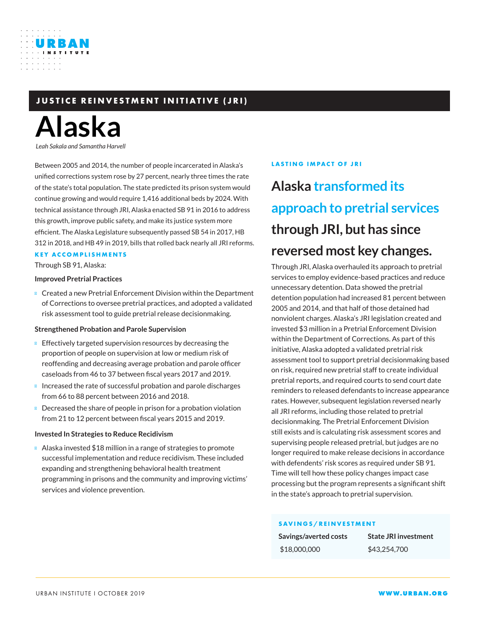### **JUSTICE REINVESTMENT INITIATIVE (JRI)**

# **Alaska**

URBAN

*Leah Sakala and Samantha Harvell*

Between 2005 and 2014, the number of people incarcerated in Alaska's unified corrections system rose by 27 percent, nearly three times the rate of the state's total population. The state predicted its prison system would continue growing and would require 1,416 additional beds by 2024. With technical assistance through JRI, Alaska enacted SB 91 in 2016 to address this growth, improve public safety, and make its justice system more efficient. The Alaska Legislature subsequently passed SB 54 in 2017, HB 312 in 2018, and HB 49 in 2019, bills that rolled back nearly all JRI reforms.

### **KEY ACCOMPLISHMENTS**

Through SB 91, Alaska:

### **Improved Pretrial Practices**

Created a new Pretrial Enforcement Division within the Department of Corrections to oversee pretrial practices, and adopted a validated risk assessment tool to guide pretrial release decisionmaking.

### **Strengthened Probation and Parole Supervision**

Effectively targeted supervision resources by decreasing the proportion of people on supervision at low or medium risk of reoffending and decreasing average probation and parole officer caseloads from 46 to 37 between fiscal years 2017 and 2019. Increased the rate of successful probation and parole discharges from 66 to 88 percent between 2016 and 2018.

Decreased the share of people in prison for a probation violation from 21 to 12 percent between fiscal years 2015 and 2019.

### **Invested In Strategies to Reduce Recidivism**

Alaska invested \$18 million in a range of strategies to promote successful implementation and reduce recidivism. These included expanding and strengthening behavioral health treatment programming in prisons and the community and improving victims' services and violence prevention.

### **LASTING IMPACT OF JRI**

## **Alaska transformed its approach to pretrial services through JRI, but has since reversed most key changes.**

Through JRI, Alaska overhauled its approach to pretrial services to employ evidence-based practices and reduce unnecessary detention. Data showed the pretrial detention population had increased 81 percent between 2005 and 2014, and that half of those detained had nonviolent charges. Alaska's JRI legislation created and invested \$3 million in a Pretrial Enforcement Division within the Department of Corrections. As part of this initiative, Alaska adopted a validated pretrial risk assessment tool to support pretrial decisionmaking based on risk, required new pretrial staff to create individual pretrial reports, and required courts to send court date reminders to released defendants to increase appearance rates. However, subsequent legislation reversed nearly all JRI reforms, including those related to pretrial decisionmaking. The Pretrial Enforcement Division still exists and is calculating risk assessment scores and supervising people released pretrial, but judges are no longer required to make release decisions in accordance with defendents' risk scores as required under SB 91. Time will tell how these policy changes impact case processing but the program represents a significant shift in the state's approach to pretrial supervision.

### **SAVINGS/REINVESTMENT**

| Savings/averted costs | <b>State JRI investment</b> |
|-----------------------|-----------------------------|
| \$18,000,000          | \$43,254,700                |